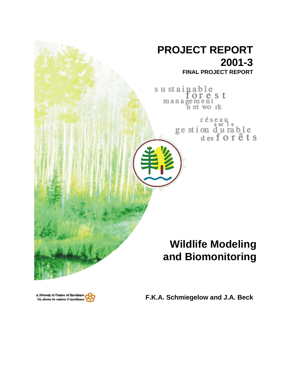

**F.K.A. Schmiegelow and J.A. Beck**

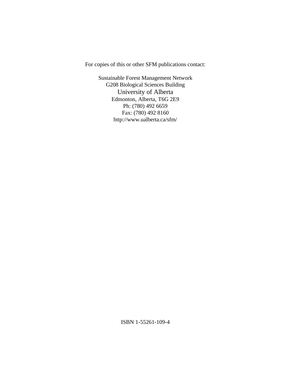For copies of this or other SFM publications contact:

Sustainable Forest Management Network G208 Biological Sciences Building University of Alberta Edmonton, Alberta, T6G 2E9 Ph: (780) 492 6659 Fax: (780) 492 8160 http://www.ualberta.ca/sfm/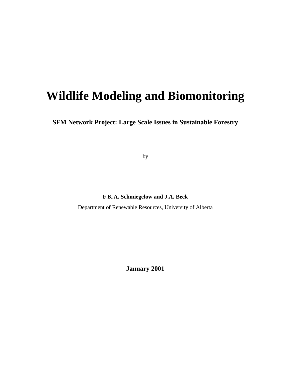# **Wildlife Modeling and Biomonitoring**

**SFM Network Project: Large Scale Issues in Sustainable Forestry**

by

**F.K.A. Schmiegelow and J.A. Beck**

Department of Renewable Resources, University of Alberta

**January 2001**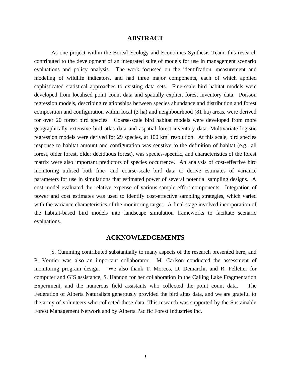## **ABSTRACT**

As one project within the Boreal Ecology and Economics Synthesis Team, this research contributed to the development of an integrated suite of models for use in management scenario evaluations and policy analysis. The work focussed on the identifcation, measurement and modeling of wildlife indicators, and had three major components, each of which applied sophisticated statistical approaches to existing data sets. Fine-scale bird habitat models were developed from localised point count data and spatially explicit forest inventory data. Poisson regression models, describing relationships between species abundance and distribution and forest composition and configuration within local (3 ha) and neighbourhood (81 ha) areas, were derived for over 20 forest bird species. Coarse-scale bird habitat models were developed from more geographically extensive bird atlas data and aspatial forest inventory data. Multivariate logistic regression models were derived for 29 species, at  $100 \text{ km}^2$  resolution. At this scale, bird species response to habitat amount and configuration was senstive to the definition of habitat (e.g., all forest, older forest, older deciduous forest), was species-specific, and characteristics of the forest matrix were also important predictors of species occurrence. An analysis of cost-effective bird monitoring utilised both fine- and coarse-scale bird data to derive estimates of variance parameters for use in simulations that estimated power of several potential sampling designs. A cost model evaluated the relative expense of various sample effort components. Integration of power and cost estimates was used to identify cost-effective sampling strategies, which varied with the variance characteristics of the monitoring target. A final stage involved incorporation of the habitat-based bird models into landscape simulation frameworks to faciltate scenario evaluations.

## **ACKNOWLEDGEMENTS**

S. Cumming contributed substantially to many aspects of the research presented here, and P. Vernier was also an important collaborator. M. Carlson conducted the assessment of monitoring program design. We also thank T. Morcos, D. Demarchi, and R. Pelletier for computer and GIS assistance, S. Hannon for her collaboration in the Calling Lake Fragmentation Experiment, and the numerous field assistants who collected the point count data. The Federation of Alberta Naturalists generously provided the bird altas data, and we are grateful to the army of volunteers who collected these data. This research was supported by the Sustainable Forest Management Network and by Alberta Pacific Forest Industries Inc.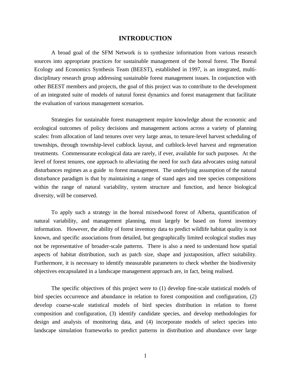## **INTRODUCTION**

A broad goal of the SFM Network is to synthesize information from various research sources into appropriate practices for sustainable management of the boreal forest. The Boreal Ecology and Economics Synthesis Team (BEEST), established in 1997, is an integrated, multidisciplinary research group addressing sustainable forest management issues. In conjunction with other BEEST members and projects, the goal of this project was to contribute to the development of an integrated suite of models of natural forest dynamics and forest management that facilitate the evaluation of various management scenarios.

Strategies for sustainable forest management require knowledge about the economic and ecological outcomes of policy decisions and management actions across a variety of planning scales: from allocation of land tenures over very large areas, to tenure-level harvest scheduling of townships, through township-level cutblock layout, and cutblock-level harvest and regeneration treatments. Commensurate ecological data are rarely, if ever, available for such purposes. At the level of forest tenures, one approach to alleviating the need for such data advocates using natural disturbances regimes as a guide to forest management. The underlying assumption of the natural disturbance paradigm is that by maintaining a range of stand ages and tree species compositions within the range of natural variability, system structure and function, and hence biological diversity, will be conserved.

To apply such a strategy in the boreal mixedwood forest of Alberta, quantification of natural variability, and management planning, must largely be based on forest inventory information. However, the ability of forest inventory data to predict wildlife habitat quality is not known, and specific associations from detailed, but geographically limited ecological studies may not be representative of broader-scale patterns. There is also a need to understand how spatial aspects of habitat distribution, such as patch size, shape and juxtaposition, affect suitability. Furthermore, it is necessary to identify measurable parameters to check whether the biodiversity objectives encapsulated in a landscape management approach are, in fact, being realised.

The specific objectives of this project were to (1) develop fine-scale statistical models of bird species occurrence and abundance in relation to forest composition and configuration, (2) develop coarse-scale statistical models of bird species distribution in relation to forest composition and configuration, (3) identify candidate species, and develop methodologies for design and analysis of monitoring data, and (4) incorporate models of select species into landscape simulation frameworks to predict patterns in distribution and abundance over large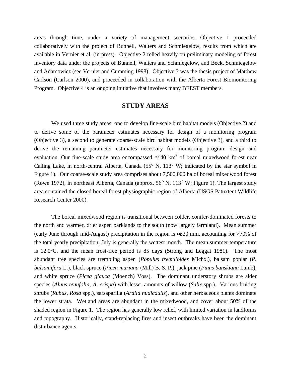areas through time, under a variety of management scenarios. Objective 1 proceeded collaboratively with the project of Bunnell, Walters and Schmiegelow, results from which are available in Vernier et al. (in press). Objective 2 relied heavily on preliminary modeling of forest inventory data under the projects of Bunnell, Walters and Schmiegelow, and Beck, Schmiegelow and Adamowicz (see Vernier and Cumming 1998). Objective 3 was the thesis project of Matthew Carlson (Carlson 2000), and proceeded in collaboration with the Alberta Forest Biomonitoring Program. Objective 4 is an ongoing initiative that involves many BEEST members.

# **STUDY AREAS**

We used three study areas: one to develop fine-scale bird habitat models (Objective 2) and to derive some of the parameter estimates necessary for design of a monitoring program (Objective 3), a second to generate coarse-scale bird habitat models (Objective 3), and a third to derive the remaining parameter estimates necessary for monitoring program design and evaluation. Our fine-scale study area encompassed  $\approx$ 140 km<sup>2</sup> of boreal mixedwood forest near Calling Lake, in north-central Alberta, Canada (55 $^{\circ}$  N, 113 $^{\circ}$  W; indicated by the star symbol in Figure 1). Our coarse-scale study area comprises about 7,500,000 ha of boreal mixedwood forest (Rowe 1972), in northeast Alberta, Canada (approx. 56° N, 113° W; Figure 1). The largest study area contained the closed boreal forest physiographic region of Alberta (USGS Patuxtent Wildlife Research Center 2000).

The boreal mixedwood region is transitional between colder, conifer-dominated forests to the north and warmer, drier aspen parklands to the south (now largely farmland). Mean summer (early June through mid-August) precipitation in the region is ≈320 mm, accounting for >70% of the total yearly precipitation; July is generally the wettest month. The mean summer temperature is 12.0°C, and the mean frost-free period is 85 days (Strong and Leggat 1981). The most abundant tree species are trembling aspen (*Populus tremuloides* Michx.), balsam poplar (*P. balsamifera* L.), black spruce (*Picea mariana* (Mill) B. S. P.), jack pine (*Pinus banskiana* Lamb), and white spruce (*Picea glauca* (Moench) Voss). The dominant understory shrubs are alder species (*Alnus tenufolia, A. crispa*) with lesser amounts of willow (*Salix* spp.). Various fruiting shrubs (*Rubus*, *Rosa* spp.), sarsaparilla (*Aralia nudicaulis*), and other herbaceous plants dominate the lower strata. Wetland areas are abundant in the mixedwood, and cover about 50% of the shaded region in Figure 1. The region has generally low relief, with limited variation in landforms and topography. Historically, stand-replacing fires and insect outbreaks have been the dominant disturbance agents.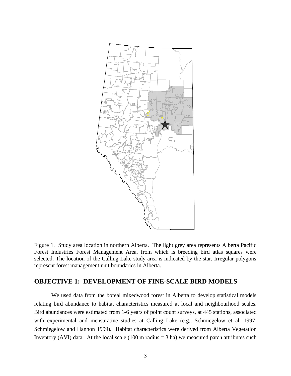

Figure 1. Study area location in northern Alberta. The light grey area represents Alberta Pacific Forest Industries Forest Management Area, from which is breeding bird atlas squares were selected. The location of the Calling Lake study area is indicated by the star. Irregular polygons represent forest management unit boundaries in Alberta.

# **OBJECTIVE 1: DEVELOPMENT OF FINE-SCALE BIRD MODELS**

We used data from the boreal mixedwood forest in Alberta to develop statistical models relating bird abundance to habitat characteristics measured at local and neighbourhood scales. Bird abundances were estimated from 1-6 years of point count surveys, at 445 stations, associated with experimental and mensurative studies at Calling Lake (e.g., Schmiegelow et al. 1997; Schmiegelow and Hannon 1999). Habitat characteristics were derived from Alberta Vegetation Inventory (AVI) data. At the local scale (100 m radius  $=$  3 ha) we measured patch attributes such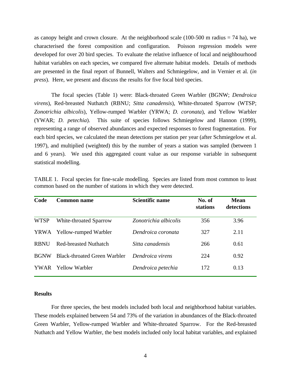as canopy height and crown closure. At the neighborhood scale  $(100-500 \text{ m} \text{ radius} = 74 \text{ ha})$ , we characterised the forest composition and configuration. Poisson regression models were developed for over 20 bird species. To evaluate the relative influence of local and neighbourhood habitat variables on each species, we compared five alternate habitat models. Details of methods are presented in the final report of Bunnell, Walters and Schmiegelow, and in Vernier et al. (*in press*). Here, we present and discuss the results for five focal bird species.

The focal species (Table 1) were: Black-throated Green Warbler (BGNW; *Dendroica virens*), Red-breasted Nuthatch (RBNU; *Sitta canadensis*), White-throated Sparrow (WTSP; *Zonotrichia albicolis*), Yellow-rumped Warbler (YRWA; *D. coronata*), and Yellow Warbler (YWAR; *D. petechia*). This suite of species follows Schmiegelow and Hannon (1999), representing a range of observed abundances and expected responses to forest fragmentation. For each bird species, we calculated the mean detections per station per year (after Schmiegelow et al. 1997), and multiplied (weighted) this by the number of years a station was sampled (between 1 and 6 years). We used this aggregated count value as our response variable in subsequent statistical modelling.

| Code        | <b>Common name</b>                  | Scientific name       | No. of<br>stations | <b>Mean</b><br>detections |
|-------------|-------------------------------------|-----------------------|--------------------|---------------------------|
| <b>WTSP</b> | White-throated Sparrow              | Zonotrichia albicolis | 356                | 3.96                      |
| YRWA        | <b>Yellow-rumped Warbler</b>        | Dendroica coronata    | 327                | 2.11                      |
| <b>RBNU</b> | <b>Red-breasted Nuthatch</b>        | Sitta canadensis      | 266                | 0.61                      |
| <b>BGNW</b> | <b>Black-throated Green Warbler</b> | Dendroica virens      | 224                | 0.92                      |
| YWAR.       | Yellow Warbler                      | Dendroica petechia    | 172                | 0.13                      |

TABLE 1. Focal species for fine-scale modelling. Species are listed from most common to least common based on the number of stations in which they were detected.

# **Results**

For three species, the best models included both local and neighborhood habitat variables. These models explained between 54 and 73% of the variation in abundances of the Black-throated Green Warbler, Yellow-rumped Warbler and White-throated Sparrow. For the Red-breasted Nuthatch and Yellow Warbler, the best models included only local habitat variables, and explained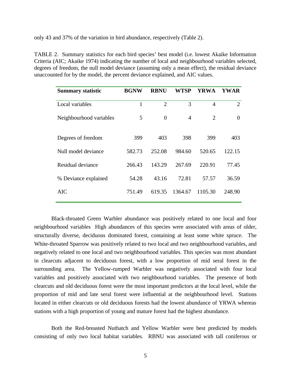only 43 and 37% of the variation in bird abundance, respectively (Table 2).

TABLE 2. Summary statistics for each bird species' best model (i.e. lowest Akaike Information Criteria (AIC; Akaike 1974) indicating the number of local and neighbourhood variables selected, degrees of freedom, the null model deviance (assuming only a mean effect), the residual deviance unaccounted for by the model, the percent deviance explained, and AIC values.

| <b>Summary statistic</b> | <b>BGNW</b> | <b>RBNU</b>    | WTSP           | YRWA           | YWAR           |
|--------------------------|-------------|----------------|----------------|----------------|----------------|
| Local variables          | 1           | $\overline{2}$ | 3              | 4              | $\overline{2}$ |
| Neighbourhood variables  | 5           | $\overline{0}$ | $\overline{A}$ | $\overline{2}$ | $\Omega$       |
| Degrees of freedom       | 399         | 403            | 398            | 399            | 403            |
| Null model deviance      | 582.73      | 252.08         | 984.60         | 520.65         | 122.15         |
| Residual deviance        | 266.43      | 143.29         | 267.69         | 220.91         | 77.45          |
| % Deviance explained     | 54.28       | 43.16          | 72.81          | 57.57          | 36.59          |
| AIC                      | 751.49      | 619.35         | 1364.67        | 1105.30        | 248.90         |

Black-throated Green Warbler abundance was positively related to one local and four neighbourhood variables High abundances of this species were associated with areas of older, structurally diverse, deciduous dominated forest, containing at least some white spruce. The White-throated Sparrow was positively related to two local and two neighbourhood variables, and negatively related to one local and two neighbourhood variables. This species was most abundant in clearcuts adjacent to deciduous forest, with a low proportion of mid seral forest in the surrounding area. The Yellow-rumped Warbler was negatively associated with four local variables and positively associated with two neighbourhood variables. The presence of both clearcuts and old deciduous forest were the most important predictors at the local level, while the proportion of mid and late seral forest were influential at the neighbourhood level. Stations located in either clearcuts or old deciduous forests had the lowest abundance of YRWA whereas stations with a high proportion of young and mature forest had the highest abundance.

Both the Red-breasted Nuthatch and Yellow Warbler were best predicted by models consisting of only two local habitat variables. RBNU was associated with tall coniferous or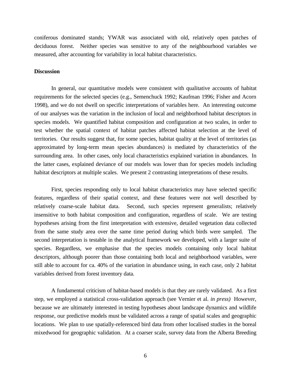coniferous dominated stands; YWAR was associated with old, relatively open patches of deciduous forest. Neither species was sensitive to any of the neighbourhood variables we measured, after accounting for variability in local habitat characteristics.

#### **Discussion**

In general, our quantitative models were consistent with qualitative accounts of habitat requirements for the selected species (e.g., Semenchuck 1992; Kaufman 1996; Fisher and Acorn 1998), and we do not dwell on specific interpretations of variables here. An interesting outcome of our analyses was the variation in the inclusion of local and neighborhood habitat descriptors in species models. We quantified habitat composition and configuration at two scales, in order to test whether the spatial context of habitat patches affected habitat selection at the level of territories. Our results suggest that, for some species, habitat quality at the level of territories (as approximated by long-term mean species abundances) is mediated by characteristics of the surrounding area. In other cases, only local characteristics explained variation in abundances. In the latter cases, explained deviance of our models was lower than for species models including habitat descriptors at multiple scales. We present 2 contrasting interpretations of these results.

First, species responding only to local habitat characteristics may have selected specific features, regardless of their spatial context, and these features were not well described by relatively coarse-scale habitat data. Second, such species represent generalists; relatively insensitive to both habitat composition and configuration, regardless of scale. We are testing hypotheses arising from the first interpretation with extensive, detailed vegetation data collected from the same study area over the same time period during which birds were sampled. The second interpretation is testable in the analytical framework we developed, with a larger suite of species. Regardless, we emphasise that the species models containing only local habitat descriptors, although poorer than those containing both local and neighborhood variables, were still able to account for ca. 40% of the variation in abundance using, in each case, only 2 habitat variables derived from forest inventory data.

A fundamental criticism of habitat-based models is that they are rarely validated. As a first step, we employed a statistical cross-validation approach (see Vernier et al. *in press)* However, because we are ultimately interested in testing hypotheses about landscape dynamics and wildlife response, our predictive models must be validated across a range of spatial scales and geographic locations. We plan to use spatially-referenced bird data from other localised studies in the boreal mixedwood for geographic validation. At a coarser scale, survey data from the Alberta Breeding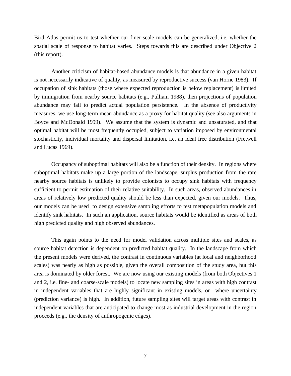Bird Atlas permit us to test whether our finer-scale models can be generalized, i.e. whether the spatial scale of response to habitat varies. Steps towards this are described under Objective 2 (this report).

Another criticism of habitat-based abundance models is that abundance in a given habitat is not necessarily indicative of quality, as measured by reproductive success (van Horne 1983). If occupation of sink habitats (those where expected reproduction is below replacement) is limited by immigration from nearby source habitats (e.g., Pulliam 1988), then projections of population abundance may fail to predict actual population persistence. In the absence of productivity measures, we use long-term mean abundance as a proxy for habitat quality (see also arguments in Boyce and McDonald 1999). We assume that the system is dynamic and unsaturated, and that optimal habitat will be most frequently occupied, subject to variation imposed by environmental stochasticity, individual mortality and dispersal limitation, i.e. an ideal free distribution (Fretwell and Lucas 1969).

Occupancy of suboptimal habitats will also be a function of their density. In regions where suboptimal habitats make up a large portion of the landscape, surplus production from the rare nearby source habitats is unlikely to provide colonists to occupy sink habitats with frequency sufficient to permit estimation of their relative suitability. In such areas, observed abundances in areas of relatively low predicted quality should be less than expected, given our models. Thus, our models can be used to design extensive sampling efforts to test metapopulation models and identify sink habitats. In such an application, source habitats would be identified as areas of both high predicted quality and high observed abundances.

This again points to the need for model validation across multiple sites and scales, as source habitat detection is dependent on predicted habitat quality. In the landscape from which the present models were derived, the contrast in continuous variables (at local and neighborhood scales) was nearly as high as possible, given the overall composition of the study area, but this area is dominated by older forest. We are now using our existing models (from both Objectives 1 and 2, i.e. fine- and coarse-scale models) to locate new sampling sites in areas with high contrast in independent variables that are highly significant in existing models, or where uncertainty (prediction variance) is high. In addition, future sampling sites will target areas with contrast in independent variables that are anticipated to change most as industrial development in the region proceeds (e.g., the density of anthropogenic edges).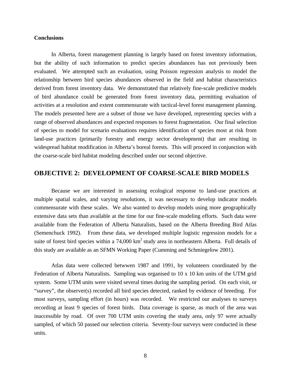## **Conclusions**

In Alberta, forest management planning is largely based on forest inventory information, but the ability of such information to predict species abundances has not previously been evaluated. We attempted such an evaluation, using Poisson regression analysis to model the relationship between bird species abundances observed in the field and habitat characteristics derived from forest inventory data. We demonstrated that relatively fine-scale predictive models of bird abundance could be generated from forest inventory data, permitting evaluation of activities at a resolution and extent commensurate with tactical-level forest management planning. The models presented here are a subset of those we have developed, representing species with a range of observed abundances and expected responses to forest fragmentation. Our final selection of species to model for scenario evaluations requires identification of species most at risk from land-use practices (primarily forestry and energy sector development) that are resulting in widespread habitat modification in Alberta's boreal forests. This will proceed in conjunction with the coarse-scale bird habitat modeling described under our second objective.

# **OBJECTIVE 2: DEVELOPMENT OF COARSE-SCALE BIRD MODELS**

Because we are interested in assessing ecological response to land-use practices at multiple spatial scales, and varying resolutions, it was necessary to develop indicator models commensurate with these scales. We also wanted to develop models using more geographically extensive data sets than available at the time for our fine-scale modeling efforts. Such data were available from the Federation of Alberta Naturalists, based on the Alberta Breeding Bird Atlas (Semenchuck 1992). From these data, we developed multiple logistic regression models for a suite of forest bird species within a  $74,000 \text{ km}^2$  study area in northeastern Alberta. Full details of this study are available as an SFMN Working Paper (Cumming and Schmiegelow 2001).

Atlas data were collected betwwen 1987 and 1991, by volunteers coordinated by the Federation of Alberta Naturalists. Sampling was organised to 10 x 10 km units of the UTM grid system. Some UTM units were visited several times during the sampling period. On each visit, or "survey", the observer(s) recorded all bird species detected, ranked by evidence of breeding. For most surveys, sampling effort (in hours) was recorded. We restricted our analyses to surveys recording at least 9 species of forest birds. Data coverage is sparse, as much of the area was inaccessible by road. Of over 700 UTM units covering the study area, only 97 were actually sampled, of which 50 passed our selection criteria. Seventy-four surveys were conducted in these units.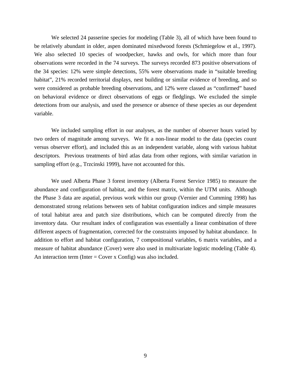We selected 24 passerine species for modeling (Table 3), all of which have been found to be relatively abundant in older, aspen dominated mixedwood forests (Schmiegelow et al., 1997). We also selected 10 species of woodpecker, hawks and owls, for which more than four observations were recorded in the 74 surveys. The surveys recorded 873 positive observations of the 34 species: 12% were simple detections, 55% were observations made in "suitable breeding habitat", 21% recorded territorial displays, nest building or similar evidence of breeding, and so were considered as probable breeding observations, and 12% were classed as "confirmed" based on behavioral evidence or direct observations of eggs or fledglings. We excluded the simple detections from our analysis, and used the presence or absence of these species as our dependent variable.

We included sampling effort in our analyses, as the number of observer hours varied by two orders of magnitude among surveys. We fit a non-linear model to the data (species count versus observer effort), and included this as an independent variable, along with various habitat descriptors. Previous treatments of bird atlas data from other regions, with similar variation in sampling effort (e.g., Trzcinski 1999), have not accounted for this.

We used Alberta Phase 3 forest inventory (Alberta Forest Service 1985) to measure the abundance and configuration of habitat, and the forest matrix, within the UTM units. Although the Phase 3 data are aspatial, previous work within our group (Vernier and Cumming 1998) has demonstrated strong relations between sets of habitat configuration indices and simple measures of total habitat area and patch size distributions, which can be computed directly from the inventory data. Our resultant index of configuration was essentially a linear combination of three different aspects of fragmentation, corrected for the constraints imposed by habitat abundance. In addition to effort and habitat configuration, 7 compositional variables, 6 matrix variables, and a measure of habitat abundance (Cover) were also used in multivariate logistic modeling (Table 4). An interaction term (Inter  $=$  Cover x Config) was also included.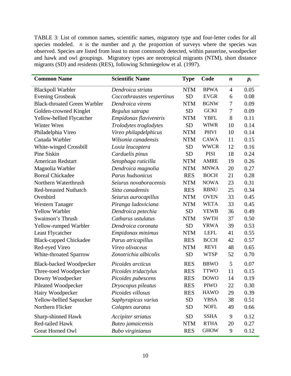TABLE 3: List of common names, scientific names, migratory type and four-letter codes for all species modeled. *n* is the number and  $p_i$  the proportion of surveys where the species was observed. Species are listed from least to most commonly detected, within passerine, woodpecker and hawk and owl groupings. Migratory types are neotropical migrants (NTM), short distance migrants (SD) and residents (RES), following Schmiegelow et al. (1997).

| <b>Common Name</b>                  | <b>Scientific Name</b>     | <b>Type</b> | Code        | n              | $p_i$ |
|-------------------------------------|----------------------------|-------------|-------------|----------------|-------|
| <b>Blackpoll Warbler</b>            | Dendroica striata          | <b>NTM</b>  | <b>BPWA</b> | $\overline{4}$ | 0.05  |
| <b>Evening Grosbeak</b>             | Coccothraustes vespertinus | <b>SD</b>   | <b>EVGR</b> | 6              | 0.08  |
| <b>Black-throated Green Warbler</b> | Dendroica virens           | <b>NTM</b>  | <b>BGNW</b> | 7              | 0.09  |
| Golden-crowned Kinglet              | Regulus satrapa            | <b>SD</b>   | <b>GCKI</b> | 7              | 0.09  |
| Yellow-bellied Flycatcher           | Empidonax flaviventris     | <b>NTM</b>  | <b>YBFL</b> | 8              | 0.11  |
| Winter Wren                         | Trolodytes troglodytes     | <b>SD</b>   | <b>WIWR</b> | 10             | 0.14  |
| Philadelphia Vireo                  | Vireo philapdelphicus      | <b>NTM</b>  | <b>PHVI</b> | 10             | 0.14  |
| Canada Warbler                      | Wilsonia canadensis        | <b>NTM</b>  | <b>CAWA</b> | 11             | 0.15  |
| White-winged Crossbill              | Loxia leucoptera           | <b>SD</b>   | <b>WWCR</b> | 12             | 0.16  |
| Pine Siskin                         | Carduelis pinus            | <b>SD</b>   | <b>PISI</b> | 18             | 0.24  |
| <b>American Redstart</b>            | Setophaga ruticilla        | <b>NTM</b>  | <b>AMRE</b> | 19             | 0.26  |
| Magnolia Warbler                    | Dendroica magnolia         | <b>NTM</b>  | <b>MNWA</b> | 20             | 0.27  |
| <b>Boreal Chickadee</b>             | Parus hudsonicus           | <b>RES</b>  | <b>BOCH</b> | 21             | 0.28  |
| Northern Waterthrush                | Seiurus novaboracensis     | <b>NTM</b>  | <b>NOWA</b> | 23             | 0.31  |
| <b>Red-breasted Nuthatch</b>        | Sitta canadensis           | <b>RES</b>  | <b>RBNU</b> | 25             | 0.34  |
| Ovenbird                            | Seiurus aurocapillus       | <b>NTM</b>  | <b>OVEN</b> | 33             | 0.45  |
| <b>Western Tanager</b>              | Piranga ludoviciana        | <b>NTM</b>  | <b>WETA</b> | 33             | 0.45  |
| <b>Yellow Warbler</b>               | Dendroica petechia         | <b>SD</b>   | <b>YEWB</b> | 36             | 0.49  |
| Swainson's Thrush                   | Catharus ustulatus         | <b>NTM</b>  | <b>SWTH</b> | 37             | 0.50  |
| Yellow-rumped Warbler               | Dendroica coronata         | <b>SD</b>   | <b>YRWA</b> | 39             | 0.53  |
| Least Flycatcher                    | Empidonax minimus          | <b>NTM</b>  | <b>LEFL</b> | 41             | 0.55  |
| <b>Black-capped Chickadee</b>       | Parus atricapillus         | <b>RES</b>  | <b>BCCH</b> | 42             | 0.57  |
| Red-eyed Vireo                      | Vireo olivaceus            | <b>NTM</b>  | <b>REVI</b> | 48             | 0.65  |
| White-throated Sparrow              | Zonotrichia albicolis      | <b>SD</b>   | <b>WTSP</b> | 52             | 0.70  |
| <b>Black-backed Woodpecker</b>      | Picoides arcticus          | <b>RES</b>  | <b>BBWO</b> | 5              | 0.07  |
| Three-toed Woodpecker               | Picoides tridactylus       | <b>RES</b>  | <b>TTWO</b> | 11             | 0.15  |
| Downy Woodpecker                    | Picoides pubescens         | <b>RES</b>  | <b>DOWO</b> | 14             | 0.19  |
| Pileated Woodpecker                 | Dryocopus pileatus         | <b>RES</b>  | <b>PIWO</b> | 22             | 0.30  |
| Hairy Woodpecker                    | Picoides villosus          | <b>RES</b>  | <b>HAWO</b> | 29             | 0.39  |
| Yellow-bellied Sapsucker            | Saphyrapicus varius        | <b>SD</b>   | <b>YBSA</b> | 38             | 0.51  |
| Northern Flicker                    | Colaptes auratus           | <b>SD</b>   | <b>NOFL</b> | 49             | 0.66  |
| Sharp-shinned Hawk                  | Accipiter striatus         | <b>SD</b>   | <b>SSHA</b> | 9              | 0.12  |
| Red-tailed Hawk                     | Buteo jamaicensis          | <b>NTM</b>  | <b>RTHA</b> | 20             | 0.27  |
| Great Horned Owl                    | <b>Bubo</b> virginianus    | <b>RES</b>  | <b>GHOW</b> | 9              | 0.12  |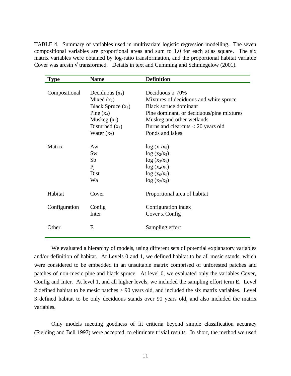TABLE 4. Summary of variables used in multivariate logistic regression modelling. The seven compositional variables are proportional areas and sum to 1.0 for each atlas square. The six matrix variables were obtained by log-ratio transformation, and the proportional habitat variable Cover was arcsin  $\sqrt{\frac{1}{2}}$  transformed. Details in text and Cumming and Schmiegelow (2001).

| <b>Type</b>   | <b>Name</b>          | <b>Definition</b>                         |
|---------------|----------------------|-------------------------------------------|
|               |                      |                                           |
| Compositional | Deciduous $(x_1)$    | Deciduous $\geq 70\%$                     |
|               | Mixed $(x_2)$        | Mixtures of deciduous and white spruce    |
|               | Black Spruce $(x_3)$ | Black soruce dominant                     |
|               | Pine $(x_4)$         | Pine dominant, or deciduous/pine mixtures |
|               | Muskeg $(x_5)$       | Muskeg and other wetlands                 |
|               | Disturbed $(x_6)$    | Burns and clearcuts $\leq 20$ years old   |
|               | Water $(x_7)$        | Ponds and lakes                           |
|               |                      |                                           |
| Matrix        | Aw                   | $\log(x_1/x_5)$                           |
|               | <b>Sw</b>            | $log(x_2/x_5)$                            |
|               | Sb                   | $log(x_3/x_5)$                            |
|               | Pi                   | $log(x_4/x_5)$                            |
|               | Dist                 | $log(x_6/x_5)$                            |
|               | Wa                   | $log(x_7/x_5)$                            |
| Habitat       | Cover                | Proportional area of habitat              |
| Configuration | Config               | Configuration index                       |
|               | Inter                | Cover x Config                            |
| Other         | E                    | Sampling effort                           |

We evaluated a hierarchy of models, using different sets of potential explanatory variables and/or definition of habitat. At Levels 0 and 1, we defined habitat to be all mesic stands, which were considered to be embedded in an unsuitable matrix comprised of unforested patches and patches of non-mesic pine and black spruce. At level 0, we evaluated only the variables Cover, Config and Inter. At level 1, and all higher levels, we included the sampling effort term E. Level 2 defined habitat to be mesic patches > 90 years old, and included the six matrix variables. Level 3 defined habitat to be only deciduous stands over 90 years old, and also included the matrix variables.

Only models meeting goodness of fit critieria beyond simple classification accuracy (Fielding and Bell 1997) were accepted, to eliminate trivial results. In short, the method we used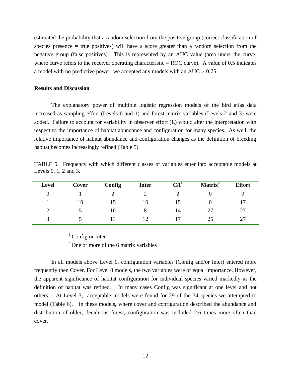estimated the probability that a random selection from the positive group (correct classification of species presence = true positives) will have a score greater than a random selection from the negative group (false positives). This is represented by an AUC value (area under the curve, where curve refers to the receiver operating characteristic  $=$  ROC curve). A value of 0.5 indicates a model with no predictive power; we accepted any models with an AUC  $\geq$  0.75.

### **Results and Discussion**

The explanatory power of multiple logistic regression models of the bird atlas data increased as sampling effort (Levels 0 and 1) and forest matrix variables (Levels 2 and 3) were added. Failure to account for variability in observer effort (E) would alter the interpretation with respect to the importance of habitat abundance and configuration for many species. As well, the relative importance of habitat abundance and configuration changes as the definition of breeding habitat becomes increasingly refined (Table 5).

TABLE 5. Frequency with which different classes of variables enter into acceptable models at Levels 0, 1, 2 and 3.

| <b>Level</b> | Cover | Config | <b>Inter</b> | C/I <sup>1</sup> | Matrix <sup>2</sup> | <b>Effort</b> |
|--------------|-------|--------|--------------|------------------|---------------------|---------------|
|              |       |        |              |                  |                     |               |
|              | ГU    |        |              |                  |                     |               |
|              |       | ГO     |              | 14               |                     |               |
|              |       |        |              |                  |                     |               |

 $1$  Config or Inter

<sup>2</sup> One or more of the 6 matrix variables

In all models above Level 0, configuration variables (Config and/or Inter) entered more frequently then Cover. For Level 0 models, the two variables were of equal importance. However, the apparent significance of habitat configuration for individual species varied markedly as the definition of habitat was refined. In many cases Config was significant at one level and not others. At Level 3, acceptable models were found for 29 of the 34 species we attempted to model (Table 6). In these models, where cover and configuration described the abundance and distribution of older, deciduous forest, configuration was included 2.6 times more often than cover.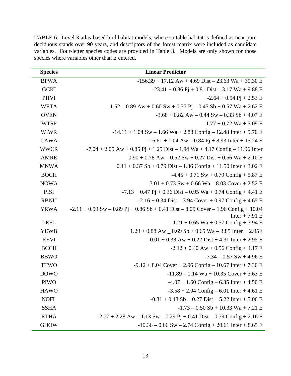| <b>Species</b> | <b>Linear Predictor</b>                                                                    |
|----------------|--------------------------------------------------------------------------------------------|
| <b>BPWA</b>    | $-156.39 + 17.12 \text{ Aw} + 4.69 \text{ Dist} - 23.63 \text{ Wa} + 39.30 \text{ E}$      |
| <b>GCKI</b>    | $-23.41 + 0.86$ Pj + 0.81 Dist – 3.17 Wa + 9.88 E                                          |
| <b>PHVI</b>    | $-2.64 + 0.54$ Pj + 2.53 E                                                                 |
| <b>WETA</b>    | $1.52 - 0.89$ Aw + 0.60 Sw + 0.37 Pj – 0.45 Sb + 0.57 Wa + 2.62 E                          |
| <b>OVEN</b>    | $-3.68 + 0.82$ Aw $- 0.44$ Sw $- 0.33$ Sb $+ 4.07$ E                                       |
| <b>WTSP</b>    | $1.77 + 0.72$ Wa + 5.09 E                                                                  |
| <b>WIWR</b>    | $-14.11 + 1.04$ Sw $- 1.66$ Wa $+ 2.88$ Config $- 12.48$ Inter $+ 5.70$ E                  |
| <b>CAWA</b>    | $-16.61 + 1.04$ Aw $- 0.84$ Pj + 8.93 Inter + 15.24 E                                      |
| <b>WWCR</b>    | $-7.04 + 2.05$ Aw + 0.85 Pj + 1.25 Dist - 1.94 Wa + 4.17 Config - 11.96 Inter              |
| <b>AMRE</b>    | $0.90 + 0.78$ Aw $- 0.52$ Sw $+ 0.27$ Dist $+ 0.56$ Wa $+ 2.10$ E                          |
| <b>MNWA</b>    | $0.11 + 0.37$ Sb + 0.79 Dist – 1.36 Config + 11.50 Inter + 3.02 E                          |
| <b>BOCH</b>    | $-4.45 + 0.71$ Sw + 0.79 Config + 5.87 E                                                   |
| <b>NOWA</b>    | $3.01 + 0.73$ Sw + 0.66 Wa – 8.03 Cover + 2.52 E                                           |
| <b>PISI</b>    | $-7.13 + 0.47$ Pj + 0.36 Dist – 0.95 Wa + 0.74 Config + 4.41 E                             |
| <b>RBNU</b>    | $-2.16 + 0.34$ Dist – 3.94 Cover + 0.97 Config + 4.65 E                                    |
| <b>YRWA</b>    | $-2.11 + 0.59$ Sw $- 0.89$ Pj + 0.86 Sb + 0.41 Dist $- 8.05$ Cover $- 1.96$ Config + 10.04 |
|                | Inter $+ 7.91 E$                                                                           |
| <b>LEFL</b>    | $1.21 + 0.65$ Wa + 0.57 Config + 3.94 E                                                    |
| <b>YEWB</b>    | $1.29 + 0.88$ Aw $- 0.69$ Sb + 0.65 Wa – 3.85 Inter + 2.95E                                |
| <b>REVI</b>    | $-0.01 + 0.38$ Aw + 0.22 Dist + 4.31 Inter + 2.95 E                                        |
| <b>BCCH</b>    | $-2.12 + 0.40$ Aw + 0.56 Config + 4.17 E                                                   |
| <b>BBWO</b>    | $-7.34 - 0.57$ Sw + 4.96 E                                                                 |
| <b>TTWO</b>    | $-9.12 + 8.04$ Cover $+ 2.96$ Config $- 10.67$ Inter $+ 7.30$ E                            |
| <b>DOWO</b>    | $-11.89 - 1.14$ Wa + 10.35 Cover + 3.63 E                                                  |
| <b>PIWO</b>    | $-4.07 + 1.60$ Config $-6.35$ Inter $+4.50$ E                                              |
| <b>HAWO</b>    | $-3.58 + 2.04$ Config – 6.01 Inter + 4.61 E                                                |
| <b>NOFL</b>    | $-0.31 + 0.48$ Sb + 0.27 Dist + 5.22 Inter + 5.06 E                                        |
| <b>SSHA</b>    | $-1.73 - 0.50$ Sb + 10.33 Wa + 7.21 E                                                      |
| <b>RTHA</b>    | $-2.77 + 2.28$ Aw $- 1.13$ Sw $- 0.29$ Pj + 0.41 Dist $- 0.79$ Config + 2.16 E             |
| <b>GHOW</b>    | $-10.36 - 0.66$ Sw $- 2.74$ Config + 20.61 Inter + 8.65 E                                  |

TABLE 6. Level 3 atlas-based bird habitat models, where suitable habitat is defined as near pure deciduous stands over 90 years, and descriptors of the forest matrix were included as candidate variables. Four-letter species codes are provided in Table 3. Models are only shown for those species where variables other than E entered.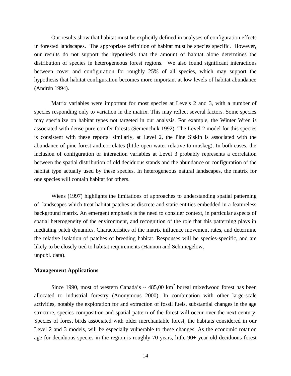Our results show that habitat must be explicitly defined in analyses of configuration effects in forested landscapes. The appropriate definition of habitat must be species specific. However, our results do not support the hypothesis that the amount of habitat alone determines the distribution of species in heterogeneous forest regions. We also found significant interactions between cover and configuration for roughly 25% of all species, which may support the hypothesis that habitat configuration becomes more important at low levels of habitat abundance (Andrén 1994).

Matrix variables were important for most species at Levels 2 and 3, with a number of species responding only to variation in the matrix. This may reflect several factors. Some species may specialize on habitat types not targeted in our analysis. For example, the Winter Wren is associated with dense pure conifer forests (Semenchuk 1992). The Level 2 model for this species is consistent with these reports: similarly, at Level 2, the Pine Siskin is associated with the abundance of pine forest and correlates (little open water relative to muskeg). In both cases, the inclusion of configuration or interaction variables at Level 3 probably represents a correlation between the spatial distribution of old deciduous stands and the abundance or configuration of the habitat type actually used by these species. In heterogeneous natural landscapes, the matrix for one species will contain habitat for others.

Wiens (1997) highlights the limitations of approaches to understanding spatial patterning of landscapes which treat habitat patches as discrete and static entities embedded in a featureless background matrix. An emergent emphasis is the need to consider context, in particular aspects of spatial heterogeneity of the environment, and recognition of the role that this patterning plays in mediating patch dynamics. Characteristics of the matrix influence movement rates, and determine the relative isolation of patches of breeding habitat. Responses will be species-specific, and are likely to be closely tied to habitat requirements (Hannon and Schmiegelow, unpubl. data).

#### **Management Applications**

Since 1990, most of western Canada's  $\sim$  485,00 km<sup>2</sup> boreal mixedwood forest has been allocated to industrial forestry (Anonymous 2000). In combination with other large-scale activities, notably the exploration for and extraction of fossil fuels, substantial changes in the age structure, species composition and spatial pattern of the forest will occur over the next century. Species of forest birds associated with older merchantable forest, the habitats considered in our Level 2 and 3 models, will be especially vulnerable to these changes. As the economic rotation age for deciduous species in the region is roughly 70 years, little 90+ year old deciduous forest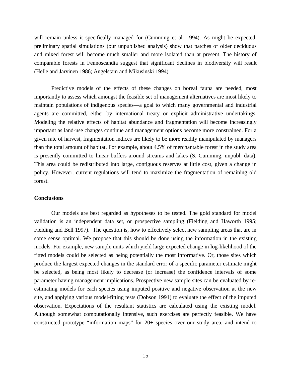will remain unless it specifically managed for (Cumming et al. 1994). As might be expected, preliminary spatial simulations (our unpublished analysis) show that patches of older deciduous and mixed forest will become much smaller and more isolated than at present. The history of comparable forests in Fennoscandia suggest that significant declines in biodiversity will result (Helle and Jarvinen 1986; Angelstam and Mikusinski 1994).

Predictive models of the effects of these changes on boreal fauna are needed, most importantly to assess which amongst the feasible set of management alternatives are most likely to maintain populations of indigenous species—a goal to which many governmental and industrial agents are committed, either by international treaty or explicit administrative undertakings. Modeling the relative effects of habitat abundance and fragmentation will become increasingly important as land-use changes continue and management options become more constrained. For a given rate of harvest, fragmentation indices are likely to be more readily manipulated by managers than the total amount of habitat. For example, about 4.5% of merchantable forest in the study area is presently committed to linear buffers around streams and lakes (S. Cumming, unpubl. data). This area could be redistributed into large, contiguous reserves at little cost, given a change in policy. However, current regulations will tend to maximize the fragmentation of remaining old forest.

#### **Conclusions**

Our models are best regarded as hypotheses to be tested. The gold standard for model validation is an independent data set, or prospective sampling (Fielding and Haworth 1995; Fielding and Bell 1997). The question is, how to effectively select new sampling areas that are in some sense optimal. We propose that this should be done using the information in the existing models. For example, new sample units which yield large expected change in log-likelihood of the fitted models could be selected as being potentially the most informative. Or, those sites which produce the largest expected changes in the standard error of a specific parameter estimate might be selected, as being most likely to decrease (or increase) the confidence intervals of some parameter having management implications. Prospective new sample sites can be evaluated by reestimating models for each species using imputed positive and negative observation at the new site, and applying various model-fitting tests (Dobson 1991) to evaluate the effect of the imputed observation. Expectations of the resultant statistics are calculated using the existing model. Although somewhat computationally intensive, such exercises are perfectly feasible. We have constructed prototype "information maps" for 20+ species over our study area, and intend to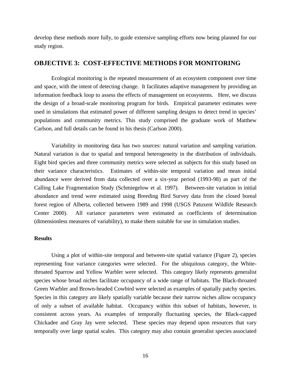develop these methods more fully, to guide extensive sampling efforts now being planned for our study region.

# **OBJECTIVE 3: COST-EFFECTIVE METHODS FOR MONITORING**

Ecological monitoring is the repeated measurement of an ecosystem component over time and space, with the intent of detecting change. It facilitates adaptive management by providing an information feedback loop to assess the effects of management on ecosystems. Here, we discuss the design of a broad-scale monitoring program for birds. Empirical parameter estimates were used in simulations that estimated power of different sampling designs to detect trend in species' populations and community metrics. This study comprised the graduate work of Matthew Carlson, and full details can be found in his thesis (Carlson 2000).

Variability in monitoring data has two sources: natural variation and sampling variation. Natural variation is due to spatial and temporal heterogeneity in the distribution of individuals. Eight bird species and three community metrics were selected as subjects for this study based on their variance characteristics. Estimates of within-site temporal variation and mean initial abundance were derived from data collected over a six-year period (1993-98) as part of the Calling Lake Fragmentation Study (Schmiegelow et al. 1997). Between-site variation in initial abundance and trend were estimated using Breeding Bird Survey data from the closed boreal forest region of Alberta, collected between 1989 and 1998 (USGS Patuxent Wildlife Research Center 2000). All variance parameters were estimated as coefficients of determination (dimensionless measures of variability), to make them suitable for use in simulation studies.

## **Results**

Using a plot of within-site temporal and between-site spatial variance (Figure 2), species representing four variance categories were selected. For the ubiquitous category, the Whitethroated Sparrow and Yellow Warbler were selected. This category likely represents generalist species whose broad niches facilitate occupancy of a wide range of habitats. The Black-throated Green Warbler and Brown-headed Cowbird were selected as examples of spatially patchy species. Species in this category are likely spatially variable because their narrow niches allow occupancy of only a subset of available habitat. Occupancy within this subset of habitats, however, is consistent across years. As examples of temporally fluctuating species, the Black-capped Chickadee and Gray Jay were selected. These species may depend upon resources that vary temporally over large spatial scales. This category may also contain generalist species associated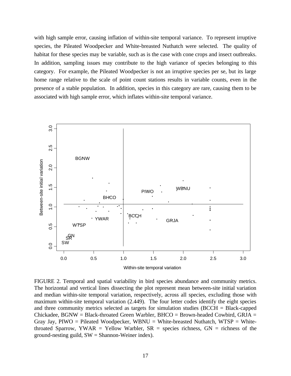with high sample error, causing inflation of within-site temporal variance. To represent irruptive species, the Pileated Woodpecker and White-breasted Nuthatch were selected. The quality of habitat for these species may be variable, such as is the case with cone crops and insect outbreaks. In addition, sampling issues may contribute to the high variance of species belonging to this category. For example, the Pileated Woodpecker is not an irruptive species per se, but its large home range relative to the scale of point count stations results in variable counts, even in the presence of a stable population. In addition, species in this category are rare, causing them to be associated with high sample error, which inflates within-site temporal variance.



FIGURE 2. Temporal and spatial variability in bird species abundance and community metrics. The horizontal and vertical lines dissecting the plot represent mean between-site initial variation and median within-site temporal variation, respectively, across all species, excluding those with maximum within-site temporal variation (2.449). The four letter codes identify the eight species and three community metrics selected as targets for simulation studies (BCCH = Black-capped Chickadee,  $BGNW = Black-throated Green Warbler, BHCO = Brown-headed Cowbird, GRIA =$ Gray Jay, PIWO = Pileated Woodpecker, WBNU = White-breasted Nuthatch, WTSP = Whitethroated Sparrow, YWAR = Yellow Warbler,  $SR$  = species richness,  $GN$  = richness of the ground-nesting guild, SW = Shannon-Weiner index).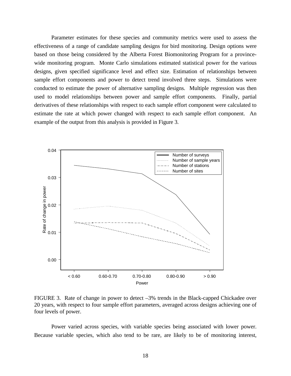Parameter estimates for these species and community metrics were used to assess the effectiveness of a range of candidate sampling designs for bird monitoring. Design options were based on those being considered by the Alberta Forest Biomonitoring Program for a provincewide monitoring program. Monte Carlo simulations estimated statistical power for the various designs, given specified significance level and effect size. Estimation of relationships between sample effort components and power to detect trend involved three steps. Simulations were conducted to estimate the power of alternative sampling designs. Multiple regression was then used to model relationships between power and sample effort components. Finally, partial derivatives of these relationships with respect to each sample effort component were calculated to estimate the rate at which power changed with respect to each sample effort component. An example of the output from this analysis is provided in Figure 3.



FIGURE 3. Rate of change in power to detect –3% trends in the Black-capped Chickadee over 20 years, with respect to four sample effort parameters, averaged across designs achieving one of four levels of power.

Power varied across species, with variable species being associated with lower power. Because variable species, which also tend to be rare, are likely to be of monitoring interest,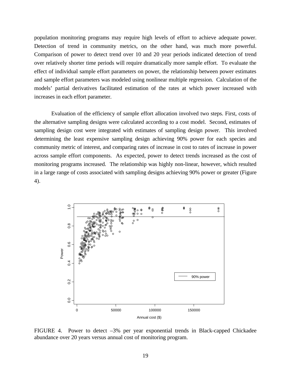population monitoring programs may require high levels of effort to achieve adequate power. Detection of trend in community metrics, on the other hand, was much more powerful. Comparison of power to detect trend over 10 and 20 year periods indicated detection of trend over relatively shorter time periods will require dramatically more sample effort. To evaluate the effect of individual sample effort parameters on power, the relationship between power estimates and sample effort parameters was modeled using nonlinear multiple regression. Calculation of the models' partial derivatives facilitated estimation of the rates at which power increased with increases in each effort parameter.

Evaluation of the efficiency of sample effort allocation involved two steps. First, costs of the alternative sampling designs were calculated according to a cost model. Second, estimates of sampling design cost were integrated with estimates of sampling design power. This involved determining the least expensive sampling design achieving 90% power for each species and community metric of interest, and comparing rates of increase in cost to rates of increase in power across sample effort components. As expected, power to detect trends increased as the cost of monitoring programs increased. The relationship was highly non-linear, however, which resulted in a large range of costs associated with sampling designs achieving 90% power or greater (Figure 4).



FIGURE 4. Power to detect –3% per year exponential trends in Black-capped Chickadee abundance over 20 years versus annual cost of monitoring program.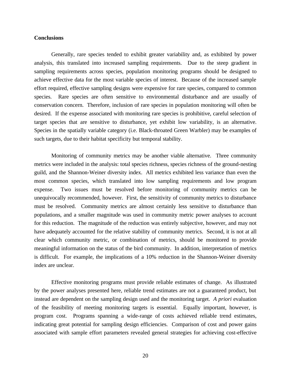## **Conclusions**

Generally, rare species tended to exhibit greater variability and, as exhibited by power analysis, this translated into increased sampling requirements. Due to the steep gradient in sampling requirements across species, population monitoring programs should be designed to achieve effective data for the most variable species of interest. Because of the increased sample effort required, effective sampling designs were expensive for rare species, compared to common species. Rare species are often sensitive to environmental disturbance and are usually of conservation concern. Therefore, inclusion of rare species in population monitoring will often be desired. If the expense associated with monitoring rare species is prohibitive, careful selection of target species that are sensitive to disturbance, yet exhibit low variability, is an alternative. Species in the spatially variable category (i.e. Black-throated Green Warbler) may be examples of such targets, due to their habitat specificity but temporal stability.

Monitoring of community metrics may be another viable alternative. Three community metrics were included in the analysis: total species richness, species richness of the ground-nesting guild, and the Shannon-Weiner diversity index. All metrics exhibited less variance than even the most common species, which translated into low sampling requirements and low program expense. Two issues must be resolved before monitoring of community metrics can be unequivocally recommended, however. First, the sensitivity of community metrics to disturbance must be resolved. Community metrics are almost certainly less sensitive to disturbance than populations, and a smaller magnitude was used in community metric power analyses to account for this reduction. The magnitude of the reduction was entirely subjective, however, and may not have adequately accounted for the relative stability of community metrics. Second, it is not at all clear which community metric, or combination of metrics, should be monitored to provide meaningful information on the status of the bird community. In addition, interpretation of metrics is difficult. For example, the implications of a 10% reduction in the Shannon-Weiner diversity index are unclear.

Effective monitoring programs must provide reliable estimates of change. As illustrated by the power analyses presented here, reliable trend estimates are not a guaranteed product, but instead are dependent on the sampling design used and the monitoring target. *A priori* evaluation of the feasibility of meeting monitoring targets is essential. Equally important, however, is program cost. Programs spanning a wide-range of costs achieved reliable trend estimates, indicating great potential for sampling design efficiencies. Comparison of cost and power gains associated with sample effort parameters revealed general strategies for achieving cost-effective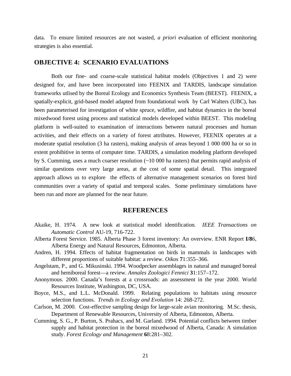data. To ensure limited resources are not wasted, *a priori* evaluation of efficient monitoring strategies is also essential.

## **OBJECTIVE 4: SCENARIO EVALUATIONS**

Both our fine- and coarse-scale statistical habitat models (Objectives 1 and 2) were designed for, and have been incorporated into FEENIX and TARDIS, landscape simulation frameworks utlised by the Boreal Ecology and Economics Synthesis Team (BEEST). FEENIX, a spatially-explicit, grid-based model adapted from foundational work by Carl Walters (UBC), has been parameterised for investigation of white spruce, wildfire, and habitat dynamics in the boreal mixedwood forest using process and statistical models developed within BEEST. This modeling platform is well-suited to examination of interactions between natural processes and human activities, and their effects on a variety of forest attributes. However, FEENIX operates at a moderate spatial resolution (3 ha rasters), making analysis of areas beyond 1 000 000 ha or so in extent prohibitive in terms of computer time. TARDIS, a simulation modeling platform developed by S. Cumming, uses a much coarser resolution (~10 000 ha rasters) that permits rapid analysis of similar questions over very large areas, at the cost of some spatial detail. This integrated approach allows us to explore the effects of alternative management scenarios on forest bird communities over a variety of spatial and temporal scales. Some preliminary simulations have been run and more are planned for the near future.

## **REFERENCES**

- Akaike, H. 1974. A new look at statistical model identification*. IEEE Transactions on Automatic Control* AU-19, 716-722.
- Alberta Forest Service. 1985. Alberta Phase 3 forest inventory: An overview. ENR Report **I/8**6, Alberta Energy and Natural Resources, Edmonton, Alberta.
- Andren, H. 1994. Effects of habitat fragmentation on birds in mammals in landscapes with different proportions of suitable habitat: a review. *Oikos* **7**1:355–366.
- Angelstam, P., and G. Mikusinski. 1994. Woodpecker assemblages in natural and managed boreal and hemiboreal forest—a review. *Annales Zoologici Fennici* **3**1:157–172.
- Anonymous. 2000. Canada's forests at a crossroads: an assessment in the year 2000. World Resources Institute, Washington, DC, USA.
- Boyce, M.S., and L.L. McDonald. 1999. Relating populations to habitats using resource selection functions. *Trends in Ecology and Evolution* 14: 268-272.
- Carlson, M. 2000. Cost-effective sampling design for large-scale avian monitoring. M.Sc. thesis, Department of Renewable Resources, University of Alberta, Edmonton, Alberta.
- Cumming, S. G., P. Burton, S. Prahacs, and M. Garland. 1994. Potential conflicts between timber supply and habitat protection in the boreal mixedwood of Alberta, Canada: A simulation study. *Forest Ecology and Management* **6**8:281–302.